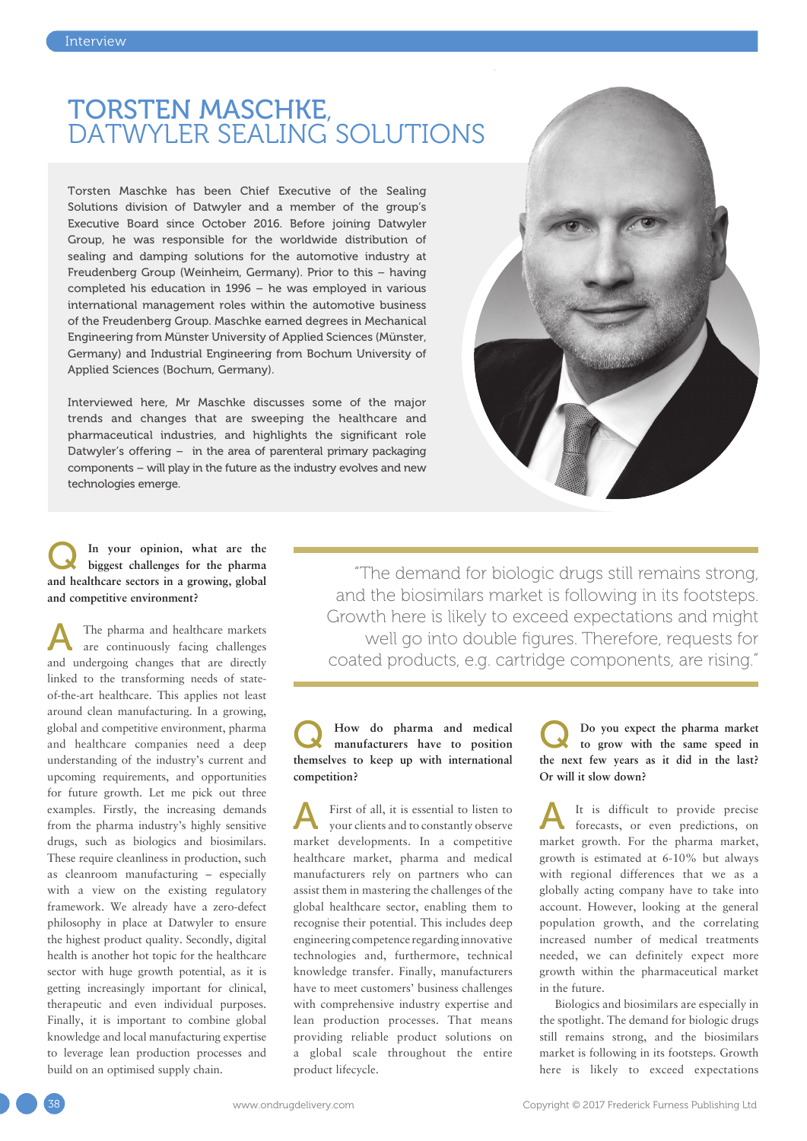## TORSTEN MASCHKE,<br>DATWYLER SEALING SOLUTIONS

Torsten Maschke has been Chief Executive of the Sealing Solutions division of Datwyler and a member of the group's Executive Board since October 2016. Before joining Datwyler Group, he was responsible for the worldwide distribution of sealing and damping solutions for the automotive industry at Freudenberg Group (Weinheim, Germany). Prior to this – having completed his education in 1996 – he was employed in various international management roles within the automotive business of the Freudenberg Group. Maschke earned degrees in Mechanical Engineering from Münster University of Applied Sciences (Münster, Germany) and Industrial Engineering from Bochum University of Applied Sciences (Bochum, Germany).

Interviewed here, Mr Maschke discusses some of the major trends and changes that are sweeping the healthcare and pharmaceutical industries, and highlights the significant role Datwyler's offering – in the area of parenteral primary packaging components – will play in the future as the industry evolves and new technologies emerge.



#### In your opinion, what are the **biggest challenges for the pharma and healthcare sectors in a growing, global and competitive environment?**

The pharma and healthcare markets are continuously facing challenges and undergoing changes that are directly linked to the transforming needs of stateof-the-art healthcare. This applies not least around clean manufacturing. In a growing, global and competitive environment, pharma and healthcare companies need a deep understanding of the industry's current and upcoming requirements, and opportunities for future growth. Let me pick out three examples. Firstly, the increasing demands from the pharma industry's highly sensitive drugs, such as biologics and biosimilars. These require cleanliness in production, such as cleanroom manufacturing – especially with a view on the existing regulatory framework. We already have a zero-defect philosophy in place at Datwyler to ensure the highest product quality. Secondly, digital health is another hot topic for the healthcare sector with huge growth potential, as it is getting increasingly important for clinical, therapeutic and even individual purposes. Finally, it is important to combine global knowledge and local manufacturing expertise to leverage lean production processes and build on an optimised supply chain.

"The demand for biologic drugs still remains strong, and the biosimilars market is following in its footsteps. Growth here is likely to exceed expectations and might well go into double figures. Therefore, requests for coated products, e.g. cartridge components, are rising."

#### How do pharma and medical **manufacturers have to position themselves to keep up with international competition?**

First of all, it is essential to listen to your clients and to constantly observe market developments. In a competitive healthcare market, pharma and medical manufacturers rely on partners who can assist them in mastering the challenges of the global healthcare sector, enabling them to recognise their potential. This includes deep engineering competence regarding innovative technologies and, furthermore, technical knowledge transfer. Finally, manufacturers have to meet customers' business challenges with comprehensive industry expertise and lean production processes. That means providing reliable product solutions on a global scale throughout the entire product lifecycle.

Q **Do you expect the pharma market to grow with the same speed in the next few years as it did in the last? Or will it slow down?** 

It is difficult to provide precise forecasts, or even predictions, on market growth. For the pharma market, growth is estimated at 6-10% but always with regional differences that we as a globally acting company have to take into account. However, looking at the general population growth, and the correlating increased number of medical treatments needed, we can definitely expect more growth within the pharmaceutical market in the future.

Biologics and biosimilars are especially in the spotlight. The demand for biologic drugs still remains strong, and the biosimilars market is following in its footsteps. Growth here is likely to exceed expectations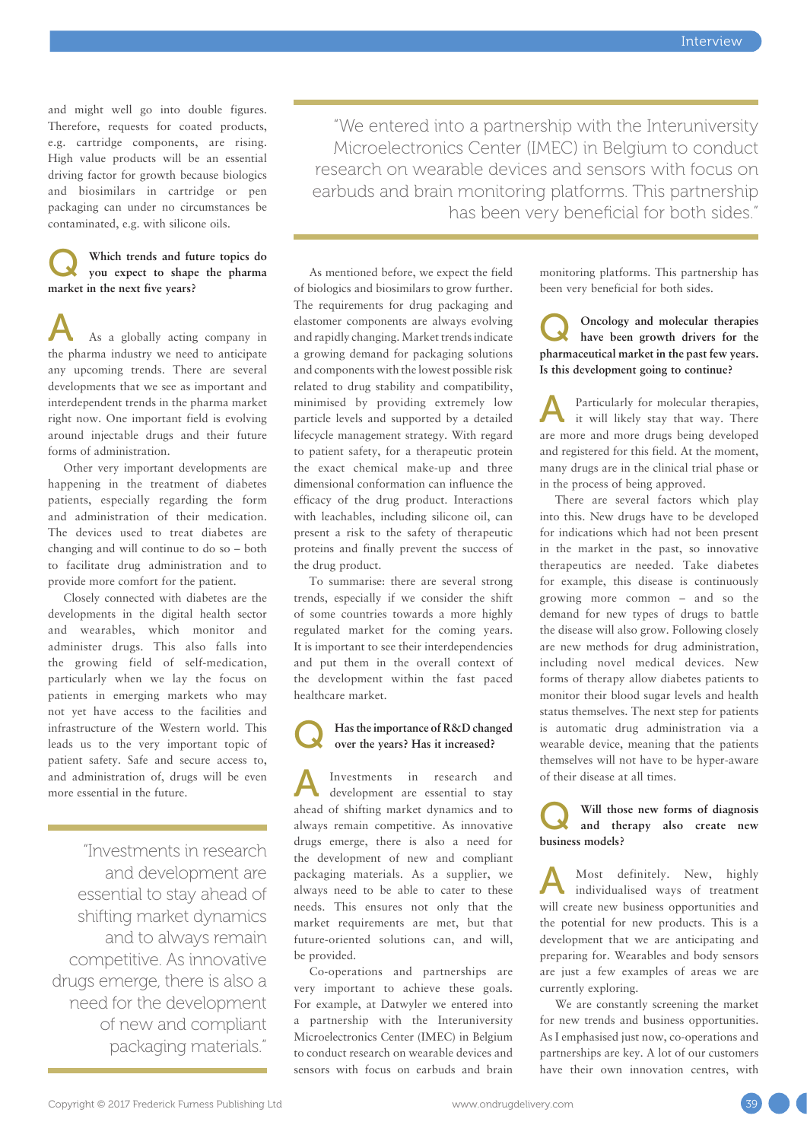and might well go into double figures. Therefore, requests for coated products, e.g. cartridge components, are rising. High value products will be an essential driving factor for growth because biologics and biosimilars in cartridge or pen packaging can under no circumstances be contaminated, e.g. with silicone oils.

#### Which trends and future topics do **you expect to shape the pharma market in the next five years?**

As a globally acting company in the pharma industry we need to anticipate any upcoming trends. There are several developments that we see as important and interdependent trends in the pharma market right now. One important field is evolving around injectable drugs and their future forms of administration.

Other very important developments are happening in the treatment of diabetes patients, especially regarding the form and administration of their medication. The devices used to treat diabetes are changing and will continue to do so – both to facilitate drug administration and to provide more comfort for the patient.

Closely connected with diabetes are the developments in the digital health sector and wearables, which monitor and administer drugs. This also falls into the growing field of self-medication, particularly when we lay the focus on patients in emerging markets who may not yet have access to the facilities and infrastructure of the Western world. This leads us to the very important topic of patient safety. Safe and secure access to, and administration of, drugs will be even more essential in the future.

"Investments in research and development are essential to stay ahead of shifting market dynamics and to always remain competitive. As innovative drugs emerge, there is also a need for the development of new and compliant packaging materials."

"We entered into a partnership with the Interuniversity Microelectronics Center (IMEC) in Belgium to conduct research on wearable devices and sensors with focus on earbuds and brain monitoring platforms. This partnership has been very beneficial for both sides."

As mentioned before, we expect the field of biologics and biosimilars to grow further. The requirements for drug packaging and elastomer components are always evolving and rapidly changing. Market trends indicate a growing demand for packaging solutions and components with the lowest possible risk related to drug stability and compatibility, minimised by providing extremely low particle levels and supported by a detailed lifecycle management strategy. With regard to patient safety, for a therapeutic protein the exact chemical make-up and three dimensional conformation can influence the efficacy of the drug product. Interactions with leachables, including silicone oil, can present a risk to the safety of therapeutic proteins and finally prevent the success of the drug product.

To summarise: there are several strong trends, especially if we consider the shift of some countries towards a more highly regulated market for the coming years. It is important to see their interdependencies and put them in the overall context of the development within the fast paced healthcare market.

### Has the importance of R&D changed **over the years? Has it increased?**

A Investments in research and development are essential to stay ahead of shifting market dynamics and to always remain competitive. As innovative drugs emerge, there is also a need for the development of new and compliant packaging materials. As a supplier, we always need to be able to cater to these needs. This ensures not only that the market requirements are met, but that future-oriented solutions can, and will, be provided.

Co-operations and partnerships are very important to achieve these goals. For example, at Datwyler we entered into a partnership with the Interuniversity Microelectronics Center (IMEC) in Belgium to conduct research on wearable devices and sensors with focus on earbuds and brain monitoring platforms. This partnership has been very beneficial for both sides.

Q **Oncology and molecular therapies have been growth drivers for the pharmaceutical market in the past few years. Is this development going to continue?** 

A Particularly for molecular therapies, it will likely stay that way. There are more and more drugs being developed and registered for this field. At the moment, many drugs are in the clinical trial phase or in the process of being approved.

There are several factors which play into this. New drugs have to be developed for indications which had not been present in the market in the past, so innovative therapeutics are needed. Take diabetes for example, this disease is continuously growing more common – and so the demand for new types of drugs to battle the disease will also grow. Following closely are new methods for drug administration, including novel medical devices. New forms of therapy allow diabetes patients to monitor their blood sugar levels and health status themselves. The next step for patients is automatic drug administration via a wearable device, meaning that the patients themselves will not have to be hyper-aware of their disease at all times.

Will those new forms of diagnosis **and therapy also create new business models?** 

Most definitely. New, highly individualised ways of treatment will create new business opportunities and the potential for new products. This is a development that we are anticipating and preparing for. Wearables and body sensors are just a few examples of areas we are currently exploring.

We are constantly screening the market for new trends and business opportunities. As I emphasised just now, co-operations and partnerships are key. A lot of our customers have their own innovation centres, with